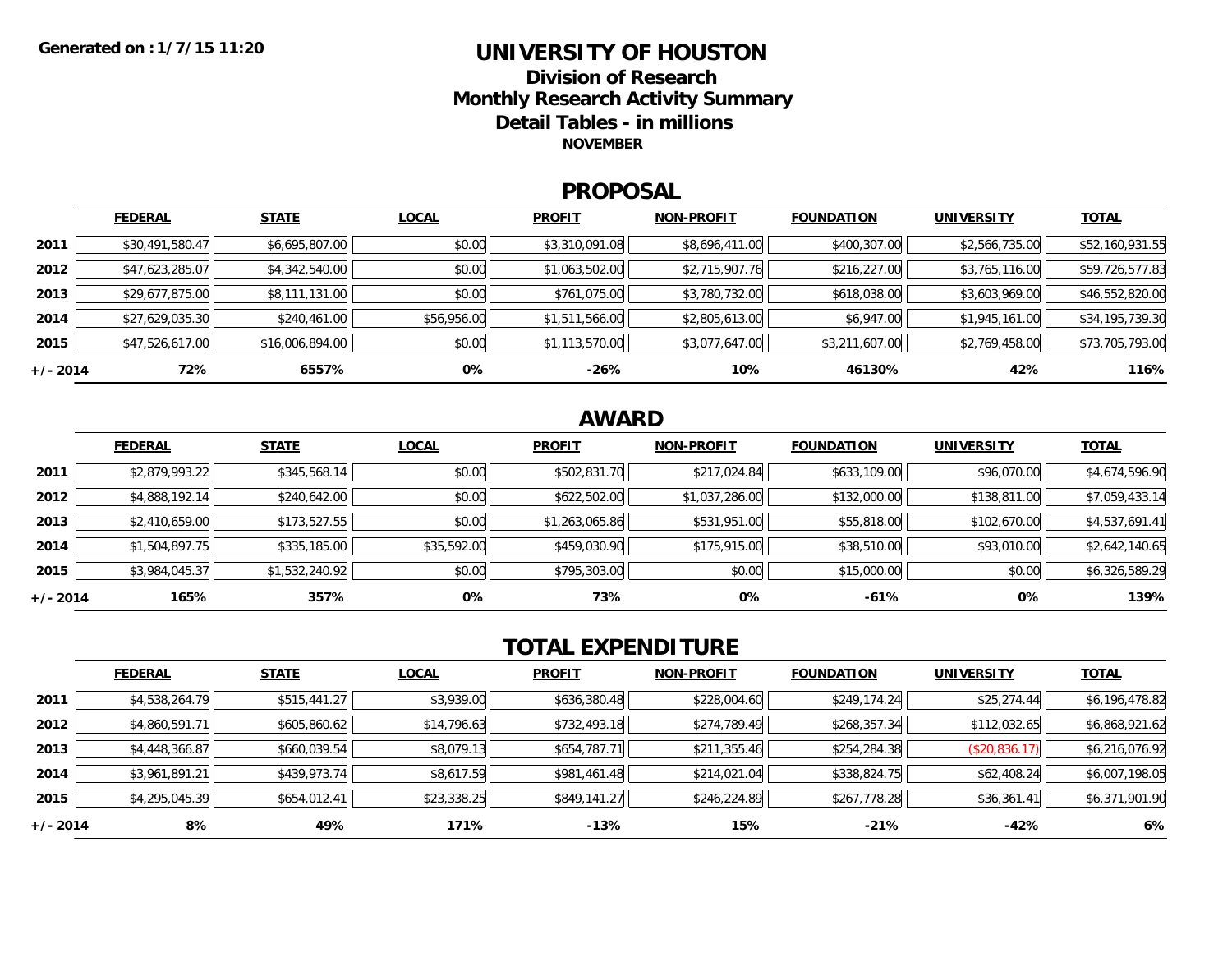### **UNIVERSITY OF HOUSTONDivision of ResearchMonthly Research Activity Summary Detail Tables - in millions NOVEMBER**

### **PROPOSAL**

|            | <b>FEDERAL</b>  | <b>STATE</b>    | <b>LOCAL</b> | <b>PROFIT</b>  | <b>NON-PROFIT</b> | <b>FOUNDATION</b> | UNIVERSITY     | <b>TOTAL</b>    |
|------------|-----------------|-----------------|--------------|----------------|-------------------|-------------------|----------------|-----------------|
| 2011       | \$30,491,580.47 | \$6,695,807.00  | \$0.00       | \$3,310,091.08 | \$8,696,411.00    | \$400,307.00      | \$2,566,735.00 | \$52,160,931.55 |
| 2012       | \$47,623,285.07 | \$4,342,540.00  | \$0.00       | \$1,063,502.00 | \$2,715,907.76    | \$216,227.00      | \$3,765,116.00 | \$59,726,577.83 |
| 2013       | \$29,677,875.00 | \$8,111,131.00  | \$0.00       | \$761,075.00   | \$3,780,732.00    | \$618,038.00      | \$3,603,969.00 | \$46,552,820.00 |
| 2014       | \$27,629,035.30 | \$240,461.00    | \$56,956.00  | \$1,511,566.00 | \$2,805,613.00    | \$6,947.00        | \$1,945,161.00 | \$34,195,739.30 |
| 2015       | \$47,526,617.00 | \$16,006,894.00 | \$0.00       | \$1,113,570.00 | \$3,077,647.00    | \$3,211,607.00    | \$2,769,458.00 | \$73,705,793.00 |
| $+/- 2014$ | 72%             | 6557%           | 0%           | $-26%$         | 10%               | 46130%            | 42%            | 116%            |

## **AWARD**

|          | <b>FEDERAL</b> | <b>STATE</b>   | <b>LOCAL</b> | <b>PROFIT</b>  | <b>NON-PROFIT</b> | <b>FOUNDATION</b> | <b>UNIVERSITY</b> | <b>TOTAL</b>   |
|----------|----------------|----------------|--------------|----------------|-------------------|-------------------|-------------------|----------------|
| 2011     | \$2,879,993.22 | \$345,568.14   | \$0.00       | \$502,831.70   | \$217,024.84      | \$633,109.00      | \$96,070.00       | \$4,674,596.90 |
| 2012     | \$4,888,192.14 | \$240,642.00   | \$0.00       | \$622,502.00   | \$1,037,286.00    | \$132,000.00      | \$138,811.00      | \$7,059,433.14 |
| 2013     | \$2,410,659.00 | \$173,527.55   | \$0.00       | \$1,263,065.86 | \$531,951.00      | \$55,818.00       | \$102,670.00      | \$4,537,691.41 |
| 2014     | \$1,504,897.75 | \$335,185.00   | \$35,592.00  | \$459,030.90   | \$175,915.00      | \$38,510.00       | \$93,010.00       | \$2,642,140.65 |
| 2015     | \$3,984,045.37 | \$1,532,240.92 | \$0.00       | \$795,303.00   | \$0.00            | \$15,000.00       | \$0.00            | \$6,326,589.29 |
| +/- 2014 | 165%           | 357%           | 0%           | 73%            | 0%                | $-61%$            | 0%                | 139%           |

# **TOTAL EXPENDITURE**

|          | <b>FEDERAL</b> | <b>STATE</b> | <b>LOCAL</b> | <b>PROFIT</b> | <b>NON-PROFIT</b> | <b>FOUNDATION</b> | <b>UNIVERSITY</b> | <b>TOTAL</b>   |
|----------|----------------|--------------|--------------|---------------|-------------------|-------------------|-------------------|----------------|
| 2011     | \$4,538,264.79 | \$515,441.27 | \$3,939.00   | \$636,380.48  | \$228,004.60      | \$249,174.24      | \$25,274.44       | \$6,196,478.82 |
| 2012     | \$4,860,591.71 | \$605,860.62 | \$14,796.63  | \$732,493.18  | \$274,789.49      | \$268,357.34      | \$112,032.65      | \$6,868,921.62 |
| 2013     | \$4,448,366.87 | \$660,039.54 | \$8,079.13   | \$654,787.71  | \$211,355.46      | \$254,284.38      | (\$20,836.17)     | \$6,216,076.92 |
| 2014     | \$3,961,891.21 | \$439,973.74 | \$8,617.59   | \$981,461.48  | \$214,021.04      | \$338,824.75      | \$62,408.24       | \$6,007,198.05 |
| 2015     | \$4,295,045.39 | \$654,012.41 | \$23,338.25  | \$849,141.27  | \$246,224.89      | \$267,778.28      | \$36,361.41       | \$6,371,901.90 |
| +/- 2014 | 8%             | 49%          | 171%         | $-13%$        | 15%               | $-21%$            | $-42%$            | 6%             |